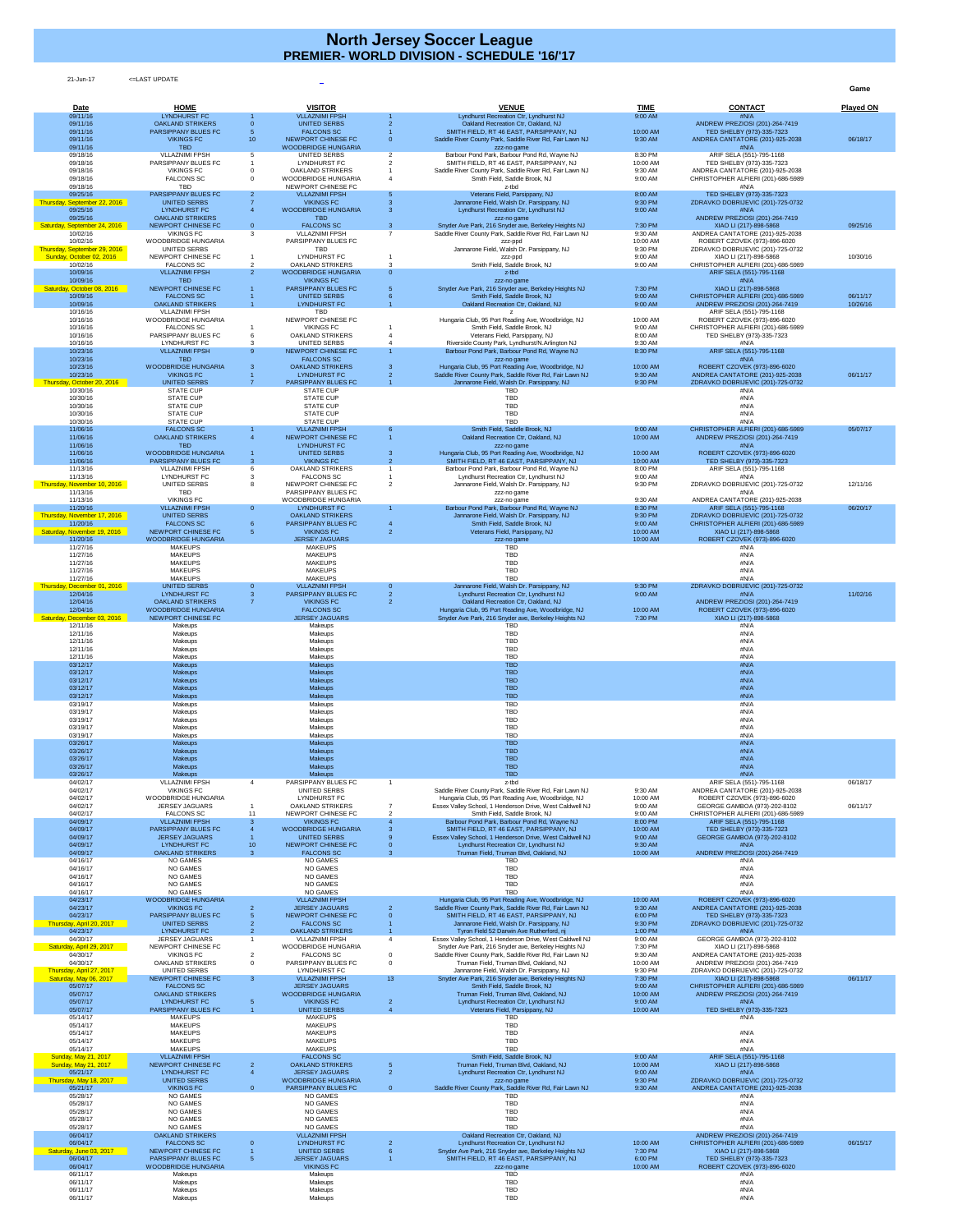21-Jun-17 <=LAST UPDATE

**Game**

| Date<br>09/11/16                                                       | <b>HOME</b><br><b>LYNDHURST FC</b>                                        |                     | <b>VISITOR</b><br><b>VLLAZNIMI FPSH</b>                               |                 | <b>VENUE</b><br>Lyndhurst Recreation Ctr, Lyndhurst NJ                                                                                            | <b>TIME</b><br>9:00 AM         | <b>CONTACT</b><br>#N/A                                                                         | <b>Played ON</b>     |
|------------------------------------------------------------------------|---------------------------------------------------------------------------|---------------------|-----------------------------------------------------------------------|-----------------|---------------------------------------------------------------------------------------------------------------------------------------------------|--------------------------------|------------------------------------------------------------------------------------------------|----------------------|
| 09/11/16<br>09/11/16                                                   | <b>OAKLAND STRIKERS</b><br><b>PARSIPPANY BLUES FC</b>                     |                     | <b>UNITED SERBS</b><br><b>FALCONS SC</b>                              |                 | Oakland Recreation Ctr, Oakland, NJ<br>SMITH FIELD, RT 46 EAST, PARSIPPANY, NJ                                                                    | 10:00 AM                       | ANDREW PREZIOSI (201)-264-7419<br>TED SHELBY (973)-335-7323                                    |                      |
| 09/11/16<br>09/11/16                                                   | <b>VIKINGS FC</b><br><b>TBD</b>                                           | 10 <sup>°</sup>     | NEWPORT CHINESE FC<br><b>WOODBRIDGE HUNGARIA</b>                      |                 | Saddle River County Park, Saddle River Rd, Fair Lawn NJ                                                                                           | 9:30 AM                        | ANDREA CANTATORE (201)-925-2038<br>#N/A                                                        | 06/18/17             |
| 09/18/16<br>09/18/16                                                   | <b>VLLAZNIMI FPSH</b><br>PARSIPPANY BLUES FC                              |                     | UNITED SERBS<br><b>LYNDHURST FC</b>                                   |                 | zzz-no game<br>Barbour Pond Park, Barbour Pond Rd, Wayne NJ<br>SMITH FIELD, RT 46 EAST, PARSIPPANY, NJ                                            | 8:30 PM<br>10:00 AM            | ARIF SELA (551)-795-1168<br>TED SHELBY (973)-335-7323                                          |                      |
| 09/18/16<br>09/18/16                                                   | <b>VIKINGS FC</b><br><b>FALCONS SC</b>                                    |                     | <b>OAKLAND STRIKERS</b><br><b>WOODBRIDGE HUNGARIA</b>                 |                 | Saddle River County Park, Saddle River Rd, Fair Lawn NJ<br>Smith Field, Saddle Brook, NJ                                                          | 9:30 AM<br>9:00 AM             | ANDREA CANTATORE (201)-925-2038<br>CHRISTOPHER ALFIERI (201)-686-5989                          |                      |
| 09/18/16<br>09/25/16                                                   | <b>TBD</b><br><b>PARSIPPANY BLUES FC</b>                                  |                     | NEWPORT CHINESE FC<br><b>VLLAZNIMI FPSH</b>                           |                 | z-tbd<br>Veterans Field, Parsippany, NJ                                                                                                           | 8:00 AM                        | #N/A<br>TED SHELBY (973)-335-7323                                                              |                      |
| Thursday, September 22, 2016<br>09/25/16                               | <b>UNITED SERBS</b><br><b>LYNDHURST FC</b>                                |                     | <b>VIKINGS FC</b><br><b>WOODBRIDGE HUNGARIA</b>                       |                 | Jannarone Field, Walsh Dr. Parsippany, NJ<br>Lyndhurst Recreation Ctr, Lyndhurst NJ                                                               | 9:30 PM<br>9:00 AM             | ZDRAVKO DOBRIJEVIC (201)-725-0732<br>#N/A                                                      |                      |
| 09/25/16<br>Saturday, September 24, 2016                               | <b>OAKLAND STRIKERS</b><br>NEWPORT CHINESE FC                             | $\Omega$            | <b>TBD</b><br><b>FALCONS SC</b>                                       |                 | zzz-no game<br>Snyder Ave Park, 216 Snyder ave, Berkeley Heights NJ                                                                               | 7:30 PM                        | ANDREW PREZIOSI (201)-264-7419<br>XIAO LI (217)-898-5868                                       | 09/25/16             |
| 10/02/16<br>10/02/16                                                   | <b>VIKINGS FC</b><br><b>WOODBRIDGE HUNGARIA</b>                           | 3                   | <b>VLLAZNIMI FPSH</b><br>PARSIPPANY BLUES FC                          |                 | Saddle River County Park, Saddle River Rd, Fair Lawn NJ<br>zzz-ppd                                                                                | 9:30 AM<br>10:00 AM            | ANDREA CANTATORE (201)-925-2038<br>ROBERT CZOVEK (973)-896-6020                                |                      |
| Thursday, September 29, 2016<br>Sunday, October 02, 2016               | <b>UNITED SERBS</b><br>NEWPORT CHINESE FC                                 |                     | TBD<br><b>LYNDHURST FC</b>                                            |                 | Jannarone Field, Walsh Dr. Parsippany, NJ<br>zzz-ppd                                                                                              | 9:30 PM<br>9:00 AM             | ZDRAVKO DOBRIJEVIC (201)-725-0732<br>XIAO LI (217)-898-5868                                    | 10/30/16             |
| 10/02/16<br>10/09/16                                                   | <b>FALCONS SC</b><br><b>VLLAZNIMI FPSH</b>                                | 2                   | <b>OAKLAND STRIKERS</b><br><b>WOODBRIDGE HUNGARIA</b>                 |                 | Smith Field, Saddle Brook, NJ<br>z-tbd                                                                                                            | 9:00 AM                        | CHRISTOPHER ALFIERI (201)-686-5989<br>ARIF SELA (551)-795-1168                                 |                      |
| 10/09/16<br>Saturday, October 08, 2016                                 | <b>TBD</b><br>NEWPORT CHINESE FC                                          |                     | <b>VIKINGS FC</b><br><b>PARSIPPANY BLUES FC</b>                       |                 | zzz-no game<br>Snyder Ave Park, 216 Snyder ave, Berkeley Heights NJ                                                                               | 7:30 PM                        | #N/A<br>XIAO LI (217)-898-5868                                                                 |                      |
| 10/09/16<br>10/09/16                                                   | <b>FALCONS SC</b><br><b>OAKLAND STRIKERS</b>                              |                     | <b>UNITED SERBS</b><br><b>LYNDHURST FC</b>                            |                 | Smith Field, Saddle Brook, NJ<br>Oakland Recreation Ctr, Oakland, NJ                                                                              | 9:00 AM<br>9:00 AM             | CHRISTOPHER ALFIERI (201)-686-5989<br>ANDREW PREZIOSI (201)-264-7419                           | 06/11/17<br>10/26/16 |
| 10/16/16<br>10/16/16                                                   | <b>VLLAZNIMI FPSH</b><br><b>WOODBRIDGE HUNGARIA</b>                       |                     | TBD<br>NEWPORT CHINESE FC                                             |                 | Hungaria Club, 95 Port Reading Ave, Woodbridge, NJ                                                                                                | 10:00 AM                       | ARIF SELA (551)-795-1168<br>ROBERT CZOVEK (973)-896-6020                                       |                      |
| 10/16/16<br>10/16/16                                                   | <b>FALCONS SC</b><br>PARSIPPANY BLUES FC                                  |                     | <b>VIKINGS FC</b><br><b>OAKLAND STRIKERS</b>                          |                 | Smith Field, Saddle Brook, NJ<br>Veterans Field, Parsippany, NJ                                                                                   | 9:00 AM<br>8:00 AM             | CHRISTOPHER ALFIERI (201)-686-5989<br>TED SHELBY (973)-335-7323                                |                      |
| 10/16/16<br>10/23/16                                                   | LYNDHURST FC<br><b>VLLAZNIMI FPSH</b>                                     | 9                   | <b>UNITED SERBS</b><br>NEWPORT CHINESE FC                             |                 | Riverside County Park, Lyndhurst/N.Arlington NJ<br>Barbour Pond Park, Barbour Pond Rd, Wayne NJ                                                   | 9:30 AM<br>8:30 PM             | #N/A<br>ARIF SELA (551)-795-1168                                                               |                      |
| 10/23/16<br>10/23/16                                                   | <b>TBD</b><br><b>WOODBRIDGE HUNGARIA</b>                                  |                     | <b>FALCONS SC</b><br><b>OAKLAND STRIKERS</b>                          |                 | zzz-no game<br>Hungaria Club, 95 Port Reading Ave, Woodbridge, NJ                                                                                 | 10:00 AM                       | #N/A<br>ROBERT CZOVEK (973)-896-6020                                                           |                      |
| 10/23/16<br>Thursday, October 20, 2016                                 | <b>VIKINGS FC</b><br><b>UNITED SERBS</b>                                  |                     | <b>LYNDHURST FC</b><br>PARSIPPANY BLUES FC                            |                 | Saddle River County Park, Saddle River Rd, Fair Lawn NJ<br>Jannarone Field, Walsh Dr. Parsippany, NJ                                              | 9:30 AM<br>9:30 PM             | ANDREA CANTATORE (201)-925-2038<br>ZDRAVKO DOBRIJEVIC (201)-725-0732                           | 06/11/17             |
| 10/30/16<br>10/30/16                                                   | <b>STATE CUP</b><br><b>STATE CUP</b>                                      |                     | <b>STATE CUP</b><br><b>STATE CUP</b>                                  |                 | <b>TBD</b><br><b>TBD</b>                                                                                                                          |                                | #N/A<br>#N/A                                                                                   |                      |
| 10/30/16<br>10/30/16                                                   | <b>STATE CUP</b><br><b>STATE CUP</b>                                      |                     | <b>STATE CUP</b><br><b>STATE CUP</b>                                  |                 | <b>TBD</b><br><b>TBD</b>                                                                                                                          |                                | #N/A<br>#N/A                                                                                   |                      |
| 10/30/16<br>11/06/16<br>11/06/16                                       | <b>STATE CUP</b><br><b>FALCONS SC</b><br><b>OAKLAND STRIKERS</b>          |                     | <b>STATE CUP</b><br><b>VLLAZNIMI FPSH</b><br>NEWPORT CHINESE FC       |                 | <b>TBD</b><br>Smith Field, Saddle Brook, NJ<br>Oakland Recreation Ctr, Oakland, NJ                                                                | 9:00 AM<br>10:00 AM            | #N/A<br>CHRISTOPHER ALFIERI (201)-686-5989<br>ANDREW PREZIOSI (201)-264-7419                   | 05/07/17             |
| 11/06/16<br>11/06/16                                                   | <b>TBD</b><br><b>WOODBRIDGE HUNGARIA</b>                                  |                     | <b>LYNDHURST FC</b><br><b>UNITED SERBS</b>                            |                 | zzz-no game<br>Hungaria Club, 95 Port Reading Ave, Woodbridge, NJ                                                                                 | 10:00 AM                       | #N/A<br>ROBERT CZOVEK (973)-896-6020                                                           |                      |
| 11/06/16<br>11/13/16                                                   | <b>PARSIPPANY BLUES FC</b><br><b>VLLAZNIMI FPSH</b>                       |                     | <b>VIKINGS FC</b><br><b>OAKLAND STRIKERS</b>                          |                 | SMITH FIELD, RT 46 EAST, PARSIPPANY, NJ<br>Barbour Pond Park, Barbour Pond Rd, Wayne NJ                                                           | 10:00 AM<br>8:00 PM            | TED SHELBY (973)-335-7323<br>ARIF SELA (551)-795-1168                                          |                      |
| 11/13/16<br>Thursday, November 10, 2016                                | <b>LYNDHURST FC</b><br>UNITED SERBS                                       | 8                   | <b>FALCONS SC</b><br>NEWPORT CHINESE FC                               |                 | Lyndhurst Recreation Ctr, Lyndhurst NJ<br>Jannarone Field, Walsh Dr. Parsippany, NJ                                                               | 9:00 AM<br>9:30 PM             | #N/A<br>ZDRAVKO DOBRIJEVIC (201)-725-0732                                                      | 12/11/16             |
| 11/13/16<br>11/13/16                                                   | <b>TBD</b><br><b>VIKINGS FC</b>                                           |                     | PARSIPPANY BLUES FC<br><b>WOODBRIDGE HUNGARIA</b>                     |                 | zzz-no game<br>zzz-no game                                                                                                                        | 9:30 AM                        | #N/A<br>ANDREA CANTATORE (201)-925-2038                                                        |                      |
| 11/20/16<br>Thursday, November 17, 2016                                | <b>VLLAZNIMI FPSH</b><br>UNITED SERBS                                     | $\overline{0}$      | <b>LYNDHURST FC</b><br><b>OAKLAND STRIKERS</b>                        |                 | Barbour Pond Park, Barbour Pond Rd, Wayne NJ<br>Jannarone Field, Walsh Dr. Parsippany, NJ                                                         | 8:30 PM<br>9:30 PM             | ARIF SELA (551)-795-1168<br>ZDRAVKO DOBRIJEVIC (201)-725-0732                                  | 06/20/17             |
| 11/20/16<br>Saturday, November 19, 2016                                | <b>FALCONS SC</b><br>NEWPORT CHINESE FC                                   |                     | <b>PARSIPPANY BLUES FC</b><br><b>VIKINGS FC</b>                       |                 | Smith Field, Saddle Brook, NJ<br>Veterans Field, Parsippany, NJ                                                                                   | 9:00 AM<br>10:00 AM            | CHRISTOPHER ALFIERI (201)-686-5989<br>XIAO LI (217)-898-5868                                   |                      |
| 11/20/16<br>11/27/16                                                   | <b>WOODBRIDGE HUNGARIA</b><br><b>MAKEUPS</b>                              |                     | <b>JERSEY JAGUARS</b><br><b>MAKEUPS</b>                               |                 | zzz-no game<br><b>TBD</b>                                                                                                                         | 10:00 AM                       | ROBERT CZOVEK (973)-896-6020<br>#N/A                                                           |                      |
| 11/27/16<br>11/27/16<br>11/27/16                                       | <b>MAKEUPS</b><br><b>MAKEUPS</b><br><b>MAKEUPS</b>                        |                     | <b>MAKEUPS</b><br><b>MAKEUPS</b><br><b>MAKEUPS</b>                    |                 | <b>TBD</b><br><b>TBD</b><br><b>TBD</b>                                                                                                            |                                | #N/A<br>#N/A<br>#N/A                                                                           |                      |
| 11/27/16<br>Thursday, December 01, 2016                                | <b>MAKEUPS</b><br><b>UNITED SERBS</b>                                     |                     | <b>MAKEUPS</b><br><b>VLLAZNIMI FPSH</b>                               |                 | <b>TBD</b><br>Jannarone Field, Walsh Dr. Parsippany, NJ                                                                                           | 9:30 PM                        | #N/A<br>ZDRAVKO DOBRIJEVIC (201)-725-0732                                                      |                      |
| 12/04/16<br>12/04/16                                                   | <b>LYNDHURST FC</b><br><b>OAKLAND STRIKERS</b>                            |                     | <b>PARSIPPANY BLUES FC</b><br><b>VIKINGS FC</b>                       |                 | Lyndhurst Recreation Ctr, Lyndhurst NJ<br>Oakland Recreation Ctr, Oakland, NJ                                                                     | 9:00 AM                        | #N/A<br>ANDREW PREZIOSI (201)-264-7419                                                         | 11/02/16             |
| 12/04/16<br>Saturday, December 03, 2016                                | <b>WOODBRIDGE HUNGARIA</b><br>NEWPORT CHINESE FC                          |                     | <b>FALCONS SC</b><br><b>JERSEY JAGUARS</b>                            |                 | Hungaria Club, 95 Port Reading Ave, Woodbridge, NJ<br>Snyder Ave Park, 216 Snyder ave, Berkeley Heights NJ                                        | 10:00 AM<br>7:30 PM            | ROBERT CZOVEK (973)-896-6020<br>XIAO LI (217)-898-5868                                         |                      |
| 12/11/16<br>12/11/16                                                   | Makeups<br>Makeups                                                        |                     | Makeups<br>Makeups                                                    |                 | <b>TBD</b><br><b>TBD</b>                                                                                                                          |                                | #N/A<br>#N/A                                                                                   |                      |
| 12/11/16<br>12/11/16                                                   | Makeups<br>Makeups                                                        |                     | Makeups<br>Makeups                                                    |                 | <b>TBD</b><br><b>TBD</b>                                                                                                                          |                                | #N/A<br>#N/A                                                                                   |                      |
| 12/11/16<br>03/12/17                                                   | Makeups<br><b>Makeups</b>                                                 |                     | Makeups<br><b>Makeups</b>                                             |                 | <b>TBD</b><br><b>TBD</b>                                                                                                                          |                                | #N/A<br>#N/A                                                                                   |                      |
| 03/12/17<br>03/12/17<br>03/12/17                                       | <b>Makeups</b><br><b>Makeups</b>                                          |                     | <b>Makeups</b><br><b>Makeups</b>                                      |                 | <b>TBD</b><br><b>TBD</b><br><b>TBD</b>                                                                                                            |                                | #N/A<br>#N/A<br>#N/A                                                                           |                      |
| 03/12/17<br>03/19/17                                                   | <b>Makeups</b><br><b>Makeups</b><br>Makeups                               |                     | <b>Makeups</b><br><b>Makeups</b><br>Makeups                           |                 | <b>TBD</b><br><b>TBD</b>                                                                                                                          |                                | #N/A<br>#N/A                                                                                   |                      |
| 03/19/17<br>03/19/17                                                   | Makeups<br>Makeups                                                        |                     | Makeups<br>Makeups                                                    |                 | <b>TBD</b><br><b>TBD</b>                                                                                                                          |                                | #N/A<br>#N/A                                                                                   |                      |
| 03/19/17<br>03/19/17                                                   | Makeups<br>Makeups                                                        |                     | Makeups<br>Makeups                                                    |                 | <b>TBD</b><br><b>TBD</b>                                                                                                                          |                                | #N/A<br>#N/A                                                                                   |                      |
| 03/26/17<br>03/26/17                                                   | <b>Makeups</b><br><b>Makeups</b>                                          |                     | <b>Makeups</b><br><b>Makeups</b>                                      |                 | <b>TBD</b><br><b>TBD</b>                                                                                                                          |                                | #N/A<br>#N/A                                                                                   |                      |
| 03/26/17<br>03/26/17                                                   | <b>Makeups</b><br><b>Makeups</b>                                          |                     | <b>Makeups</b><br><b>Makeups</b>                                      |                 | <b>TBD</b><br><b>TBD</b>                                                                                                                          |                                | #N/A<br>#N/A                                                                                   |                      |
| 03/26/17<br>04/02/17                                                   | <b>Makeups</b><br><b>VLLAZNIMI FPSH</b>                                   |                     | <b>Makeups</b><br>PARSIPPANY BLUES FC                                 |                 | <b>TBD</b><br>z-tbd                                                                                                                               |                                | $\sharp N/A$<br>ARIF SELA (551)-795-1168                                                       | 06/18/17             |
| 04/02/17<br>04/02/17                                                   | <b>VIKINGS FC</b><br><b>WOODBRIDGE HUNGARIA</b>                           |                     | UNITED SERBS<br><b>LYNDHURST FC</b>                                   |                 | Saddle River County Park, Saddle River Rd, Fair Lawn NJ<br>Hungaria Club, 95 Port Reading Ave, Woodbridge, NJ                                     | 9:30 AM<br>10:00 AM            | ANDREA CANTATORE (201)-925-2038<br>ROBERT CZOVEK (973)-896-6020                                |                      |
| 04/02/17<br>04/02/17<br>04/09/17                                       | <b>JERSEY JAGUARS</b><br><b>FALCONS SC</b><br><b>VLLAZNIMI FPSH</b>       |                     | <b>OAKLAND STRIKERS</b><br>NEWPORT CHINESE FC<br><b>VIKINGS FC</b>    |                 | Essex Valley School, 1 Henderson Drive, West Caldwell NJ<br>Smith Field, Saddle Brook, NJ<br>Barbour Pond Park, Barbour Pond Rd, Wayne NJ         | 9:00 AM<br>9:00 AM<br>8:00 PM  | GEORGE GAMBOA (973)-202-8102<br>CHRISTOPHER ALFIERI (201)-686-5989<br>ARIF SELA (551)-795-1168 | 06/11/17             |
| 04/09/17<br>04/09/17                                                   | <b>PARSIPPANY BLUES FC</b><br><b>JERSEY JAGUARS</b>                       |                     | <b>WOODBRIDGE HUNGARIA</b><br><b>UNITED SERBS</b>                     |                 | SMITH FIELD, RT 46 EAST, PARSIPPANY, NJ<br>Essex Valley School, 1 Henderson Drive, West Caldwell NJ                                               | 10:00 AM<br>9:00 AM            | TED SHELBY (973)-335-7323<br>GEORGE GAMBOA (973)-202-8102                                      |                      |
| 04/09/17<br>04/09/17                                                   | <b>LYNDHURST FC</b><br><b>OAKLAND STRIKERS</b>                            | 10                  | NEWPORT CHINESE FC<br><b>FALCONS SC</b>                               |                 | Lyndhurst Recreation Ctr, Lyndhurst NJ<br>Truman Field, Truman Blvd, Oakland, NJ                                                                  | 9:30 AM<br>10:00 AM            | #N/A<br>ANDREW PREZIOSI (201)-264-7419                                                         |                      |
| 04/16/17<br>04/16/17                                                   | <b>NO GAMES</b><br><b>NO GAMES</b>                                        |                     | <b>NO GAMES</b><br><b>NO GAMES</b>                                    |                 | <b>TBD</b><br><b>TBD</b>                                                                                                                          |                                | #N/A<br>#N/A                                                                                   |                      |
| 04/16/17<br>04/16/17                                                   | <b>NO GAMES</b><br><b>NO GAMES</b>                                        |                     | <b>NO GAMES</b><br><b>NO GAMES</b>                                    |                 | TBD<br><b>TBD</b>                                                                                                                                 |                                | #N/A<br>#N/A                                                                                   |                      |
| 04/16/17<br>04/23/17                                                   | <b>NO GAMES</b><br><b>WOODBRIDGE HUNGARIA</b>                             |                     | <b>NO GAMES</b><br><b>VLLAZNIMI FPSH</b>                              |                 | <b>TBD</b><br>Hungaria Club, 95 Port Reading Ave, Woodbridge, NJ                                                                                  | 10:00 AM                       | #N/A<br>ROBERT CZOVEK (973)-896-6020                                                           |                      |
| 04/23/17<br>04/23/17                                                   | <b>VIKINGS FC</b><br><b>PARSIPPANY BLUES FC</b>                           |                     | <b>JERSEY JAGUARS</b><br>NEWPORT CHINESE FC                           |                 | Saddle River County Park, Saddle River Rd, Fair Lawn NJ<br>SMITH FIELD, RT 46 EAST, PARSIPPANY, NJ                                                | 9:30 AM<br>6:00 PM             | ANDREA CANTATORE (201)-925-2038<br>TED SHELBY (973)-335-7323                                   |                      |
| Thursday, April 20, 2017<br>04/23/17<br>04/30/17                       | <b>UNITED SERBS</b><br><b>LYNDHURST FC</b><br><b>JERSEY JAGUARS</b>       |                     | <b>FALCONS SC</b><br><b>OAKLAND STRIKERS</b><br><b>VLLAZNIMI FPSH</b> |                 | Jannarone Field, Walsh Dr. Parsippany, NJ<br>Tyron Field 52 Darwin Ave Rutherford, nj<br>Essex Valley School, 1 Henderson Drive, West Caldwell NJ | 9:30 PM<br>1:00 PM<br>9:00 AM  | ZDRAVKO DOBRIJEVIC (201)-725-0732<br>#N/A<br>GEORGE GAMBOA (973)-202-8102                      |                      |
| Saturday, April 29, 2017<br>04/30/17                                   | NEWPORT CHINESE FC<br><b>VIKINGS FC</b>                                   | 2                   | <b>WOODBRIDGE HUNGARIA</b><br><b>FALCONS SC</b>                       |                 | Snyder Ave Park, 216 Snyder ave, Berkeley Heights NJ<br>Saddle River County Park, Saddle River Rd, Fair Lawn NJ                                   | 7:30 PM<br>9:30 AM             | XIAO LI (217)-898-5868<br>ANDREA CANTATORE (201)-925-2038                                      |                      |
| 04/30/17<br>Thursday, April 27, 2017                                   | <b>OAKLAND STRIKERS</b><br>UNITED SERBS                                   | $\Omega$            | PARSIPPANY BLUES FC<br><b>LYNDHURST FC</b>                            |                 | Truman Field, Truman Blvd, Oakland, NJ<br>Jannarone Field, Walsh Dr. Parsippany, NJ                                                               | 10:00 AM<br>9:30 PM            | ANDREW PREZIOSI (201)-264-7419<br>ZDRAVKO DOBRIJEVIC (201)-725-0732                            |                      |
| Saturday, May 06, 2017<br>05/07/17                                     | NEWPORT CHINESE FC<br><b>FALCONS SC</b>                                   | 3                   | <b>VLLAZNIMI FPSH</b><br><b>JERSEY JAGUARS</b>                        | 13 <sup>°</sup> | Snyder Ave Park, 216 Snyder ave, Berkeley Heights NJ<br>Smith Field, Saddle Brook, NJ                                                             | 7:30 PM<br>9:00 AM             | XIAO LI (217)-898-5868<br>CHRISTOPHER ALFIERI (201)-686-5989                                   | 06/11/17             |
| 05/07/17<br>05/07/17                                                   | <b>OAKLAND STRIKERS</b><br><b>LYNDHURST FC</b>                            | $5^{\circ}$         | <b>WOODBRIDGE HUNGARIA</b><br><b>VIKINGS FC</b>                       |                 | Truman Field, Truman Blvd, Oakland, NJ<br>Lyndhurst Recreation Ctr, Lyndhurst NJ                                                                  | 10:00 AM<br>9:00 AM            | ANDREW PREZIOSI (201)-264-7419<br>#N/A                                                         |                      |
| 05/07/17<br>05/14/17                                                   | <b>PARSIPPANY BLUES FC</b><br><b>MAKEUPS</b>                              |                     | <b>UNITED SERBS</b><br><b>MAKEUPS</b>                                 |                 | Veterans Field, Parsippany, NJ<br>TBD                                                                                                             | 10:00 AM                       | TED SHELBY (973)-335-7323<br>#N/A                                                              |                      |
| 05/14/17<br>05/14/17                                                   | <b>MAKEUPS</b><br><b>MAKEUPS</b>                                          |                     | <b>MAKEUPS</b><br><b>MAKEUPS</b>                                      |                 | <b>TBD</b><br><b>TBD</b>                                                                                                                          |                                | #N/A                                                                                           |                      |
| 05/14/17<br>05/14/17                                                   | <b>MAKEUPS</b><br><b>MAKEUPS</b>                                          |                     | <b>MAKEUPS</b><br><b>MAKEUPS</b>                                      |                 | <b>TBD</b><br><b>TBD</b>                                                                                                                          |                                | #N/A<br>#N/A                                                                                   |                      |
| <b>Sunday, May 21, 2017</b><br><b>Sunday, May 21, 2017</b><br>05/21/17 | <b>VLLAZNIMI FPSH</b><br><b>NEWPORT CHINESE FC</b><br><b>LYNDHURST FC</b> | 2<br>$\overline{4}$ | <b>FALCONS SC</b><br><b>OAKLAND STRIKERS</b><br><b>JERSEY JAGUARS</b> |                 | Smith Field, Saddle Brook, NJ<br>Truman Field, Truman Blvd, Oakland, NJ<br>Lyndhurst Recreation Ctr, Lyndhurst NJ                                 | 9:00 AM<br>10:00 AM<br>9:00 AM | ARIF SELA (551)-795-1168<br>XIAO LI (217)-898-5868<br>#N/A                                     |                      |
| Thursday, May 18, 2017<br>05/21/17                                     | <b>UNITED SERBS</b><br><b>VIKINGS FC</b>                                  | $\overline{0}$      | <b>WOODBRIDGE HUNGARIA</b><br><b>PARSIPPANY BLUES FC</b>              |                 | zzz-no game<br>Saddle River County Park, Saddle River Rd, Fair Lawn NJ                                                                            | 9:30 PM<br>9:30 AM             | ZDRAVKO DOBRIJEVIC (201)-725-0732<br>ANDREA CANTATORE (201)-925-2038                           |                      |
| 05/28/17<br>05/28/17                                                   | <b>NO GAMES</b><br><b>NO GAMES</b>                                        |                     | <b>NO GAMES</b><br><b>NO GAMES</b>                                    |                 | TBD<br><b>TBD</b>                                                                                                                                 |                                | #N/A<br>#N/A                                                                                   |                      |
| 05/28/17<br>05/28/17                                                   | <b>NO GAMES</b><br><b>NO GAMES</b>                                        |                     | <b>NO GAMES</b><br><b>NO GAMES</b>                                    |                 | <b>TBD</b><br><b>TBD</b>                                                                                                                          |                                | #N/A<br>#N/A                                                                                   |                      |
| 05/28/17<br>06/04/17                                                   | <b>NO GAMES</b><br><b>OAKLAND STRIKERS</b>                                |                     | <b>NO GAMES</b><br><b>VLLAZNIMI FPSH</b>                              |                 | <b>TBD</b><br>Oakland Recreation Ctr, Oakland, NJ                                                                                                 |                                | #N/A<br>ANDREW PREZIOSI (201)-264-7419                                                         |                      |
| 06/04/17<br>Saturday, June 03, 2017                                    | <b>FALCONS SC</b><br>NEWPORT CHINESE FC                                   |                     | <b>LYNDHURST FC</b><br><b>UNITED SERBS</b>                            |                 | Lyndhurst Recreation Ctr, Lyndhurst NJ<br>Snyder Ave Park, 216 Snyder ave, Berkeley Heights NJ                                                    | 10:00 AM<br>7:30 PM            | CHRISTOPHER ALFIERI (201)-686-5989<br>XIAO LI (217)-898-5868                                   | 06/15/17             |
| 06/04/17<br>06/04/17                                                   | <b>PARSIPPANY BLUES FC</b><br><b>WOODBRIDGE HUNGARIA</b>                  |                     | <b>JERSEY JAGUARS</b><br><b>VIKINGS FC</b>                            |                 | SMITH FIELD, RT 46 EAST, PARSIPPANY, NJ<br>zzz-no game                                                                                            | 6:00 PM<br>10:00 AM            | TED SHELBY (973)-335-7323<br>ROBERT CZOVEK (973)-896-6020                                      |                      |
| 06/11/17<br>06/11/17<br>06/11/17                                       | Makeups<br>Makeups<br>Makeups                                             |                     | Makeups<br>Makeups<br>Makeups                                         |                 | <b>TBD</b><br><b>TBD</b><br><b>TBD</b>                                                                                                            |                                | #N/A<br>#N/A<br>#N/A                                                                           |                      |
| 06/11/17                                                               | Makeups                                                                   |                     | Makeups                                                               |                 | <b>TBD</b>                                                                                                                                        |                                | #N/A                                                                                           |                      |

## **North Jersey Soccer League PREMIER- WORLD DIVISION - SCHEDULE '16/'17**